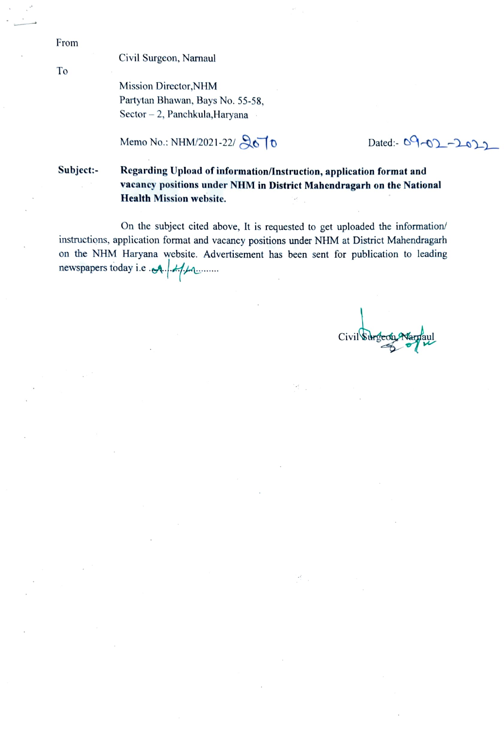From

To

Civil Surgeon, Namaul

Mission Director, NHM Partytan Bhawan, Bays No. 55-58, Sector -2, Panchkula, Haryana

Memo No.: NHM/2021-22/ $\sqrt{610}$  Dated:-09-01-10)

Subject: Regarding Upload of information/nstruction, application format and vacancy positions under NHM in District Mahendragarh on the National Health Mission website.

On the subject cited above, It is requested to get uploaded the information/ instructions, application format and vacancy positions under NHM at District Mahendragarh on the NHM Haryana website. Advertisement has been sent for publication to leading newspapers today i.e A.

Civil Surgeon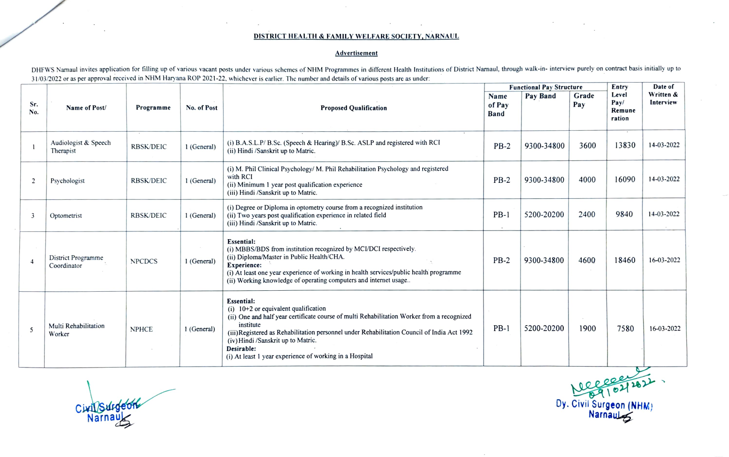## DISTRICT HEALTH & FAMILY WELFARE SOCIETY, NARNAUL

## Advertisement

DHFWS Narnaul invites application for filling up of various vacant posts under various schemes of NHM Programmes in different Health Institutions of District Narnaul, through walk-in- interview purely on contract basis ini 31/03/2022 or as per approval received in NHM Haryana ROP 2021-22, whichever is earlier. The number and details of various posts arc as under:

|                |                                   |                  |             |                                                                                                                                                                                                                                                                                                                                                                               | <b>Functional Pay Structure</b> |            |              | Entry                             | Date of                |
|----------------|-----------------------------------|------------------|-------------|-------------------------------------------------------------------------------------------------------------------------------------------------------------------------------------------------------------------------------------------------------------------------------------------------------------------------------------------------------------------------------|---------------------------------|------------|--------------|-----------------------------------|------------------------|
| Sr.<br>No.     | Name of Post/                     | Programme        | No. of Post | <b>Proposed Qualification</b>                                                                                                                                                                                                                                                                                                                                                 | Name<br>of Pay<br><b>Band</b>   | Pay Band   | Grade<br>Pay | Level<br>Pay/<br>Remune<br>ration | Written &<br>Interview |
|                | Audiologist & Speech<br>Therapist | <b>RBSK/DEIC</b> | 1 (General) | (i) B.A.S.L.P/ B.Sc. (Speech & Hearing)/ B.Sc. ASLP and registered with RCI<br>(ii) Hindi /Sanskrit up to Matric.                                                                                                                                                                                                                                                             | $PB-2$                          | 9300-34800 | 3600         | 13830                             | 14-03-2022             |
| $\overline{2}$ | Psychologist                      | <b>RBSK/DEIC</b> | 1 (General) | (i) M. Phil Clinical Psychology/ M. Phil Rehabilitation Psychology and registered<br>with RCI<br>(ii) Minimum 1 year post qualification experience<br>(iii) Hindi /Sanskrit up to Matric.                                                                                                                                                                                     | $PB-2$                          | 9300-34800 | 4000         | 16090                             | 14-03-2022             |
| 3              | Optometrist                       | <b>RBSK/DEIC</b> | 1 (General) | (i) Degree or Diploma in optometry course from a recognized institution<br>(ii) Two years post qualification experience in related field<br>(iii) Hindi /Sanskrit up to Matric.                                                                                                                                                                                               | $PB-1$<br>$\sim$                | 5200-20200 | 2400         | 9840                              | 14-03-2022             |
| $\overline{4}$ | District Programme<br>Coordinator | <b>NPCDCS</b>    | 1 (General) | <b>Essential:</b><br>(i) MBBS/BDS from institution recognized by MCI/DCI respectively.<br>(ii) Diploma/Master in Public Health/CHA.<br>Experience:<br>(i) At least one year experience of working in health services/public health programme<br>(ii) Working knowledge of operating computers and internet usage                                                              | $PB-2$                          | 9300-34800 | 4600         | 18460                             | 16-03-2022             |
| 5              | Multi Rehabilitation<br>Worker    | <b>NPHCE</b>     | 1 (General) | Essential:<br>$(i)$ 10+2 or equivalent qualification<br>(ii) One and half year certificate course of multi Rehabilitation Worker from a recognized<br>institute<br>(iii) Registered as Rehabilitation personnel under Rehabilitation Council of India Act 1992<br>(iv) Hindi /Sanskrit up to Matric.<br>Desirable:<br>(i) At least 1 year experience of working in a Hospital | $PB-1$                          | 5200-20200 | 1900         | 7580                              | 16-03-2022             |

CixlSurgeon Dy. Civil Surgeon (NHM

Narnaul